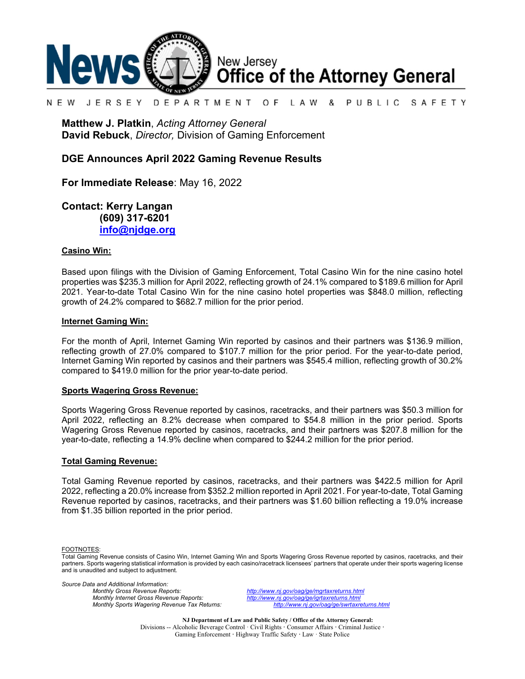

#### N F W JFRSFY DEPARTMENT O F L A W & PUBLIC SAFETY

**Matthew J. Platkin**, *Acting Attorney General* **David Rebuck**, *Director,* Division of Gaming Enforcement

### **DGE Announces April 2022 Gaming Revenue Results**

**For Immediate Release**: May 16, 2022

**Contact: Kerry Langan (609) 317-6201 [info@njdge.org](mailto:info@njdge.org)**

### **Casino Win:**

Based upon filings with the Division of Gaming Enforcement, Total Casino Win for the nine casino hotel properties was \$235.3 million for April 2022, reflecting growth of 24.1% compared to \$189.6 million for April 2021. Year-to-date Total Casino Win for the nine casino hotel properties was \$848.0 million, reflecting growth of 24.2% compared to \$682.7 million for the prior period.

### **Internet Gaming Win:**

For the month of April, Internet Gaming Win reported by casinos and their partners was \$136.9 million, reflecting growth of 27.0% compared to \$107.7 million for the prior period. For the year-to-date period, Internet Gaming Win reported by casinos and their partners was \$545.4 million, reflecting growth of 30.2% compared to \$419.0 million for the prior year-to-date period.

### **Sports Wagering Gross Revenue:**

Sports Wagering Gross Revenue reported by casinos, racetracks, and their partners was \$50.3 million for April 2022, reflecting an 8.2% decrease when compared to \$54.8 million in the prior period. Sports Wagering Gross Revenue reported by casinos, racetracks, and their partners was \$207.8 million for the year-to-date, reflecting a 14.9% decline when compared to \$244.2 million for the prior period.

### **Total Gaming Revenue:**

Total Gaming Revenue reported by casinos, racetracks, and their partners was \$422.5 million for April 2022, reflecting a 20.0% increase from \$352.2 million reported in April 2021. For year-to-date, Total Gaming Revenue reported by casinos, racetracks, and their partners was \$1.60 billion reflecting a 19.0% increase from \$1.35 billion reported in the prior period.

FOOTNOTES:

*Source Data and Additional Information:*

*Monthly Gross Revenue Reports: <http://www.nj.gov/oag/ge/mgrtaxreturns.html> Monthly Sports Wagering Revenue Tax Returns:* 

*Monthly Internet Gross Revenue Reports: <http://www.nj.gov/oag/ge/igrtaxreturns.html>*

**NJ Department of Law and Public Safety / Office of the Attorney General:** Divisions -- Alcoholic Beverage Control · Civil Rights **·** Consumer Affairs **·** Criminal Justice **·**  Gaming Enforcement **·** Highway Traffic Safety **·** Law · State Police

Total Gaming Revenue consists of Casino Win, Internet Gaming Win and Sports Wagering Gross Revenue reported by casinos, racetracks, and their partners. Sports wagering statistical information is provided by each casino/racetrack licensees' partners that operate under their sports wagering license and is unaudited and subject to adjustment.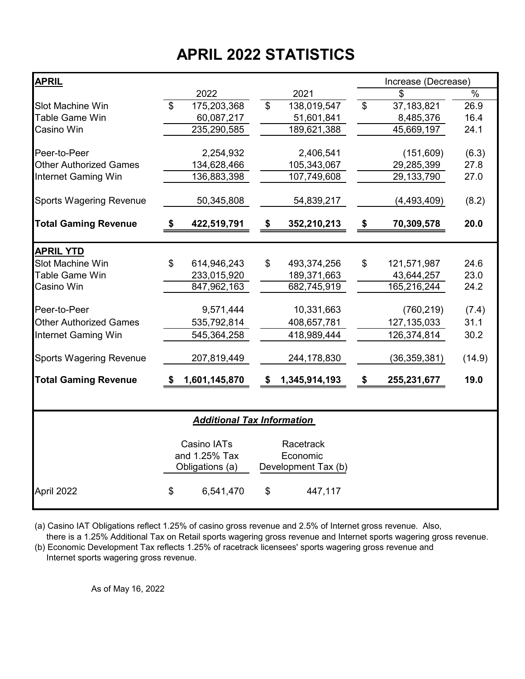# **APRIL 2022 STATISTICS**

| <b>APRIL</b>                   |                |                                   |                |                     |                | Increase (Decrease) |               |
|--------------------------------|----------------|-----------------------------------|----------------|---------------------|----------------|---------------------|---------------|
|                                |                | 2022                              |                | 2021                |                | \$                  | $\%$          |
| <b>Slot Machine Win</b>        | $\mathfrak{S}$ | 175,203,368                       | $\mathfrak{D}$ | 138,019,547         | $\mathfrak{D}$ | 37,183,821          | 26.9          |
| Table Game Win                 |                | 60,087,217                        |                | 51,601,841          |                | 8,485,376           | 16.4          |
| Casino Win                     |                | 235,290,585                       |                | 189,621,388         |                | 45,669,197          | 24.1          |
| Peer-to-Peer                   |                | 2,254,932                         |                | 2,406,541           |                | (151, 609)          |               |
| <b>Other Authorized Games</b>  |                |                                   |                |                     |                |                     | (6.3)<br>27.8 |
|                                |                | 134,628,466                       |                | 105,343,067         |                | 29,285,399          |               |
| <b>Internet Gaming Win</b>     |                | 136,883,398                       |                | 107,749,608         |                | 29, 133, 790        | 27.0          |
| <b>Sports Wagering Revenue</b> |                | 50,345,808                        |                | 54,839,217          |                | (4, 493, 409)       | (8.2)         |
| <b>Total Gaming Revenue</b>    | S.             | 422,519,791                       | S              | 352,210,213         | \$             | 70,309,578          | 20.0          |
| <b>APRIL YTD</b>               |                |                                   |                |                     |                |                     |               |
| Slot Machine Win               | \$             | 614,946,243                       | \$             | 493,374,256         | \$             | 121,571,987         | 24.6          |
| Table Game Win                 |                | 233,015,920                       |                | 189,371,663         |                | 43,644,257          | 23.0          |
| Casino Win                     |                | 847,962,163                       |                | 682,745,919         |                | 165,216,244         | 24.2          |
|                                |                |                                   |                |                     |                |                     |               |
| Peer-to-Peer                   |                | 9,571,444                         |                | 10,331,663          |                | (760, 219)          | (7.4)         |
| <b>Other Authorized Games</b>  |                | 535,792,814                       |                | 408,657,781         |                | 127, 135, 033       | 31.1          |
| <b>Internet Gaming Win</b>     |                | 545,364,258                       |                | 418,989,444         |                | 126,374,814         | 30.2          |
| <b>Sports Wagering Revenue</b> |                | 207,819,449                       |                | 244,178,830         |                | (36, 359, 381)      | (14.9)        |
| <b>Total Gaming Revenue</b>    | \$             | 1,601,145,870                     | S              | 1,345,914,193       | \$             | 255,231,677         | 19.0          |
|                                |                |                                   |                |                     |                |                     |               |
|                                |                | <b>Additional Tax Information</b> |                |                     |                |                     |               |
|                                |                | Casino IATs                       |                | Racetrack           |                |                     |               |
|                                |                | and 1.25% Tax                     |                | Economic            |                |                     |               |
|                                |                | Obligations (a)                   |                | Development Tax (b) |                |                     |               |
| April 2022                     | \$             | 6,541,470                         | \$             | 447,117             |                |                     |               |

(a) Casino IAT Obligations reflect 1.25% of casino gross revenue and 2.5% of Internet gross revenue. Also,

 there is a 1.25% Additional Tax on Retail sports wagering gross revenue and Internet sports wagering gross revenue. (b) Economic Development Tax reflects 1.25% of racetrack licensees' sports wagering gross revenue and

Internet sports wagering gross revenue.

As of May 16, 2022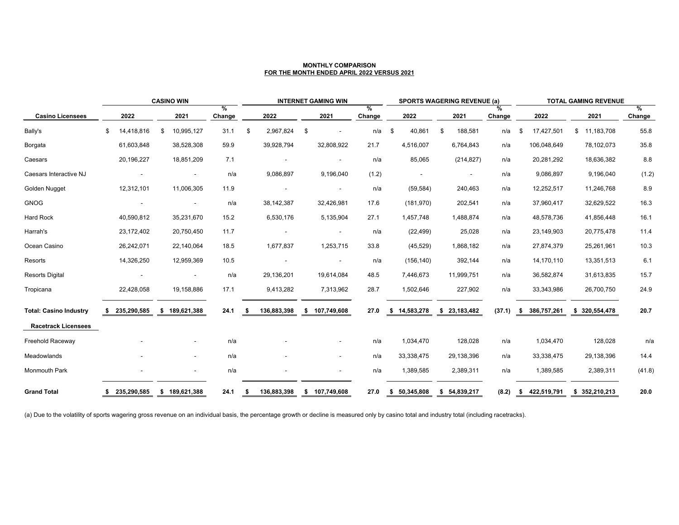| <b>CASINO WIN</b>             |      |             |                |                |             | <b>INTERNET GAMING WIN</b> |              |    |                | <b>SPORTS WAGERING REVENUE (a)</b> |                            |              |    |              | <b>TOTAL GAMING REVENUE</b> |    |               |    |               |             |
|-------------------------------|------|-------------|----------------|----------------|-------------|----------------------------|--------------|----|----------------|------------------------------------|----------------------------|--------------|----|--------------|-----------------------------|----|---------------|----|---------------|-------------|
| <b>Casino Licensees</b>       |      | 2022        |                | 2021           | %<br>Change |                            | 2022         |    | 2021           | %<br>Change                        |                            | 2022         |    | 2021         | $\%$<br>Change              |    | 2022          |    | 2021          | %<br>Change |
| Bally's                       | \$   | 14,418,816  | $\mathfrak{S}$ | 10,995,127     | 31.1        | \$                         | 2,967,824    | \$ |                | n/a                                | $\boldsymbol{\mathcal{F}}$ | 40,861       | \$ | 188,581      | n/a                         | \$ | 17,427,501    | \$ | 11,183,708    | 55.8        |
| Borgata                       |      | 61,603,848  |                | 38,528,308     | 59.9        |                            | 39,928,794   |    | 32,808,922     | 21.7                               |                            | 4,516,007    |    | 6,764,843    | n/a                         |    | 106,048,649   |    | 78,102,073    | 35.8        |
| Caesars                       |      | 20,196,227  |                | 18,851,209     | 7.1         |                            |              |    | $\sim$         | n/a                                |                            | 85,065       |    | (214, 827)   | n/a                         |    | 20,281,292    |    | 18,636,382    | 8.8         |
| Caesars Interactive NJ        |      |             |                | $\blacksquare$ | n/a         |                            | 9,086,897    |    | 9,196,040      | (1.2)                              |                            |              |    |              | n/a                         |    | 9,086,897     |    | 9,196,040     | (1.2)       |
| <b>Golden Nugget</b>          |      | 12,312,101  |                | 11,006,305     | 11.9        |                            |              |    | $\sim$         | n/a                                |                            | (59, 584)    |    | 240,463      | n/a                         |    | 12,252,517    |    | 11,246,768    | 8.9         |
| <b>GNOG</b>                   |      |             |                | $\sim$         | n/a         |                            | 38, 142, 387 |    | 32,426,981     | 17.6                               |                            | (181, 970)   |    | 202,541      | n/a                         |    | 37,960,417    |    | 32,629,522    | 16.3        |
| <b>Hard Rock</b>              |      | 40,590,812  |                | 35,231,670     | 15.2        |                            | 6,530,176    |    | 5,135,904      | 27.1                               |                            | 1,457,748    |    | 1,488,874    | n/a                         |    | 48,578,736    |    | 41,856,448    | 16.1        |
| Harrah's                      |      | 23,172,402  |                | 20,750,450     | 11.7        |                            |              |    | $\blacksquare$ | n/a                                |                            | (22, 499)    |    | 25,028       | n/a                         |    | 23,149,903    |    | 20,775,478    | 11.4        |
| Ocean Casino                  |      | 26,242,071  |                | 22,140,064     | 18.5        |                            | 1,677,837    |    | 1,253,715      | 33.8                               |                            | (45, 529)    |    | 1,868,182    | n/a                         |    | 27,874,379    |    | 25,261,961    | 10.3        |
| Resorts                       |      | 14,326,250  |                | 12,959,369     | 10.5        |                            |              |    | $\sim$         | n/a                                |                            | (156, 140)   |    | 392,144      | n/a                         |    | 14,170,110    |    | 13,351,513    | 6.1         |
| <b>Resorts Digital</b>        |      |             |                |                | n/a         |                            | 29,136,201   |    | 19,614,084     | 48.5                               |                            | 7,446,673    |    | 11,999,751   | n/a                         |    | 36,582,874    |    | 31,613,835    | 15.7        |
| Tropicana                     |      | 22,428,058  |                | 19,158,886     | 17.1        |                            | 9,413,282    |    | 7,313,962      | 28.7                               |                            | 1,502,646    |    | 227,902      | n/a                         |    | 33,343,986    |    | 26,700,750    | 24.9        |
| <b>Total: Casino Industry</b> |      | 235,290,585 |                | \$189,621,388  | 24.1        |                            | 136,883,398  |    | \$ 107,749,608 | 27.0                               |                            | \$14,583,278 |    | \$23,183,482 | (37.1)                      |    | \$386,757,261 |    | \$320,554,478 | 20.7        |
| <b>Racetrack Licensees</b>    |      |             |                |                |             |                            |              |    |                |                                    |                            |              |    |              |                             |    |               |    |               |             |
| <b>Freehold Raceway</b>       |      |             |                | $\sim$         | n/a         |                            |              |    | $\sim$         | n/a                                |                            | 1,034,470    |    | 128,028      | n/a                         |    | 1,034,470     |    | 128,028       | n/a         |
| Meadowlands                   |      |             |                | $\sim$         | n/a         |                            |              |    | $\sim$         | n/a                                |                            | 33,338,475   |    | 29,138,396   | n/a                         |    | 33,338,475    |    | 29,138,396    | 14.4        |
| <b>Monmouth Park</b>          |      |             |                | $\sim$         | n/a         |                            |              |    | $\sim$         | n/a                                |                            | 1,389,585    |    | 2,389,311    | n/a                         |    | 1,389,585     |    | 2,389,311     | (41.8)      |
| <b>Grand Total</b>            | - 56 | 235,290,585 |                | \$189,621,388  | 24.1        | - \$                       | 136,883,398  |    | \$107,749,608  | 27.0                               |                            | \$50,345,808 |    | \$54,839,217 | (8.2)                       | \$ | 422,519,791   |    | \$352,210,213 | 20.0        |

(a) Due to the volatility of sports wagering gross revenue on an individual basis, the percentage growth or decline is measured only by casino total and industry total (including racetracks).

### **MONTHLY COMPARISON FOR THE MONTH ENDED APRIL 2022 VERSUS 2021**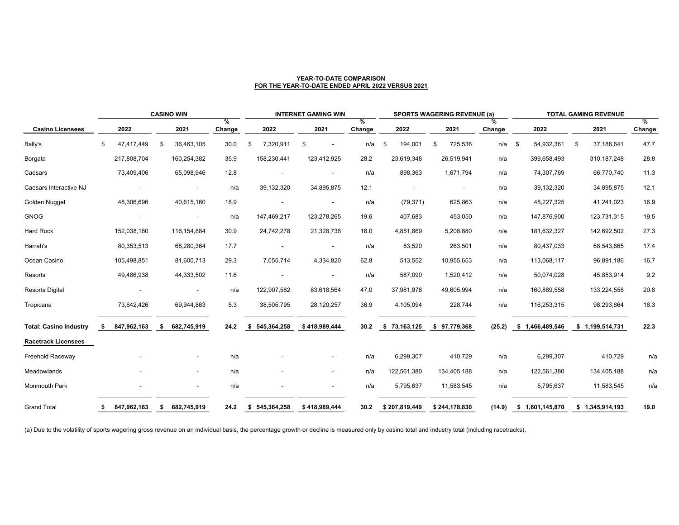|                               | <b>CASINO WIN</b> |             |     |             |                                |     |               | <b>INTERNET GAMING WIN</b>     |                         |               | <b>SPORTS WAGERING REVENUE (a)</b> |                | <b>TOTAL GAMING REVENUE</b> |                           |    |                 |                       |
|-------------------------------|-------------------|-------------|-----|-------------|--------------------------------|-----|---------------|--------------------------------|-------------------------|---------------|------------------------------------|----------------|-----------------------------|---------------------------|----|-----------------|-----------------------|
| <b>Casino Licensees</b>       |                   | 2022        |     | 2021        | $\frac{0}{0}$<br><b>Change</b> |     | 2022          | 2021                           | $\frac{9}{6}$<br>Change | 2022          | 2021                               | $\%$<br>Change |                             | 2022                      |    | 2021            | $\%$<br><b>Change</b> |
| Bally's                       | \$                | 47,417,449  | \$. | 36,463,105  | 30.0                           | -\$ | 7,320,911     | \$<br>$\overline{\phantom{a}}$ | n/a                     | \$<br>194,001 | 725,536<br>\$                      | n/a            | \$                          | 54,932,361                | \$ | 37,188,641      | 47.7                  |
| Borgata                       |                   | 217,808,704 |     | 160,254,382 | 35.9                           |     | 158,230,441   | 123,412,925                    | 28.2                    | 23,619,348    | 26,519,941                         | n/a            |                             | 399,658,493               |    | 310, 187, 248   | 28.8                  |
| Caesars                       |                   | 73,409,406  |     | 65,098,946  | 12.8                           |     | $\sim$        | $\overline{\phantom{a}}$       | n/a                     | 898,363       | 1,671,794                          | n/a            |                             | 74,307,769                |    | 66,770,740      | 11.3                  |
| Caesars Interactive NJ        |                   |             |     |             | n/a                            |     | 39,132,320    | 34,895,875                     | 12.1                    |               |                                    | n/a            |                             | 39,132,320                |    | 34,895,875      | 12.1                  |
| Golden Nugget                 |                   | 48,306,696  |     | 40,615,160  | 18.9                           |     |               |                                | n/a                     | (79, 371)     | 625,863                            | n/a            |                             | 48,227,325                |    | 41,241,023      | 16.9                  |
| <b>GNOG</b>                   |                   |             |     | $\sim$      | n/a                            |     | 147,469,217   | 123,278,265                    | 19.6                    | 407,683       | 453,050                            | n/a            |                             | 147,876,900               |    | 123,731,315     | 19.5                  |
| <b>Hard Rock</b>              |                   | 152,038,180 |     | 116,154,884 | 30.9                           |     | 24,742,278    | 21,328,738                     | 16.0                    | 4,851,869     | 5,208,880                          | n/a            |                             | 181,632,327               |    | 142,692,502     | 27.3                  |
| Harrah's                      |                   | 80,353,513  |     | 68,280,364  | 17.7                           |     | $\sim$        | $\overline{\phantom{a}}$       | n/a                     | 83,520        | 263,501                            | n/a            |                             | 80,437,033                |    | 68,543,865      | 17.4                  |
| Ocean Casino                  |                   | 105,498,851 |     | 81,600,713  | 29.3                           |     | 7,055,714     | 4,334,820                      | 62.8                    | 513,552       | 10,955,653                         | n/a            |                             | 113,068,117               |    | 96,891,186      | 16.7                  |
| Resorts                       |                   | 49,486,938  |     | 44,333,502  | 11.6                           |     | $\sim$        |                                | n/a                     | 587,090       | 1,520,412                          | n/a            |                             | 50,074,028                |    | 45,853,914      | 9.2                   |
| <b>Resorts Digital</b>        |                   |             |     |             | n/a                            |     | 122,907,582   | 83,618,564                     | 47.0                    | 37,981,976    | 49,605,994                         | n/a            |                             | 160,889,558               |    | 133,224,558     | 20.8                  |
| Tropicana                     |                   | 73,642,426  |     | 69,944,863  | 5.3                            |     | 38,505,795    | 28,120,257                     | 36.9                    | 4,105,094     | 228,744                            | n/a            |                             | 116,253,315               |    | 98,293,864      | 18.3                  |
| <b>Total: Casino Industry</b> | -SS               | 847,962,163 | -S  | 682,745,919 | 24.2                           | \$  | 545,364,258   | \$418,989,444                  | 30.2                    | \$73,163,125  | \$97,779,368                       | (25.2)         |                             | \$1,466,489,546           |    | \$1,199,514,731 | 22.3                  |
| <b>Racetrack Licensees</b>    |                   |             |     |             |                                |     |               |                                |                         |               |                                    |                |                             |                           |    |                 |                       |
| <b>Freehold Raceway</b>       |                   |             |     | $\sim$      | n/a                            |     |               | $\sim$                         | n/a                     | 6,299,307     | 410,729                            | n/a            |                             | 6,299,307                 |    | 410,729         | n/a                   |
| Meadowlands                   |                   |             |     | $\sim$      | n/a                            |     | $\sim$        | $\sim$                         | n/a                     | 122,561,380   | 134,405,188                        | n/a            |                             | 122,561,380               |    | 134,405,188     | n/a                   |
| <b>Monmouth Park</b>          |                   |             |     | $\sim$      | n/a                            |     | $\sim$        | $\blacksquare$                 | n/a                     | 5,795,637     | 11,583,545                         | n/a            |                             | 5,795,637                 |    | 11,583,545      | n/a                   |
| <b>Grand Total</b>            |                   | 847,962,163 | \$  | 682,745,919 | 24.2                           |     | \$545,364,258 | \$418,989,444                  | 30.2                    | \$207,819,449 | \$244,178,830                      |                |                             | $(14.9)$ \$ 1,601,145,870 |    | \$1,345,914,193 | 19.0                  |

(a) Due to the volatility of sports wagering gross revenue on an individual basis, the percentage growth or decline is measured only by casino total and industry total (including racetracks).

### **YEAR-TO-DATE COMPARISON FOR THE YEAR-TO-DATE ENDED APRIL 2022 VERSUS 2021**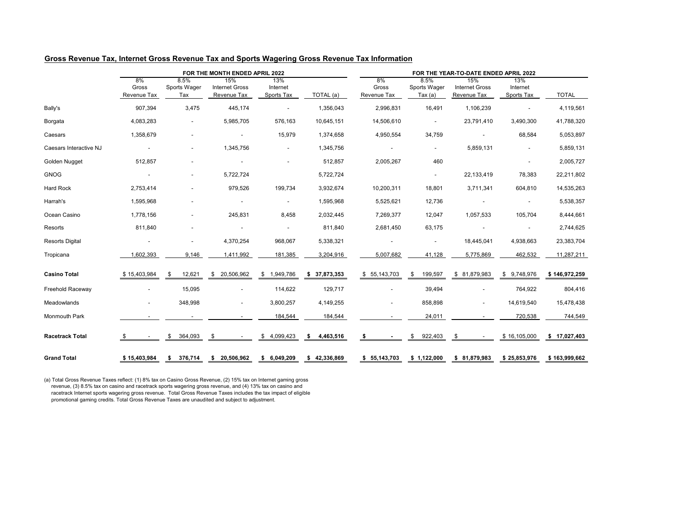## **Gross Revenue Tax, Internet Gross Revenue Tax and Sports Wagering Gross Revenue Tax Information**

|                        |                                   |                                    | FOR THE MONTH ENDED APRIL 2022              |                               |                 | FOR THE YEAR-TO-DATE ENDED APRIL 2022 |                                 |                                             |                               |               |  |  |  |  |
|------------------------|-----------------------------------|------------------------------------|---------------------------------------------|-------------------------------|-----------------|---------------------------------------|---------------------------------|---------------------------------------------|-------------------------------|---------------|--|--|--|--|
|                        | 8%<br>Gross<br><b>Revenue Tax</b> | 8.5%<br><b>Sports Wager</b><br>Tax | 15%<br><b>Internet Gross</b><br>Revenue Tax | 13%<br>Internet<br>Sports Tax | TOTAL (a)       | 8%<br>Gross<br><b>Revenue Tax</b>     | 8.5%<br>Sports Wager<br>Tax (a) | 15%<br><b>Internet Gross</b><br>Revenue Tax | 13%<br>Internet<br>Sports Tax | <b>TOTAL</b>  |  |  |  |  |
| Bally's                | 907,394                           | 3,475                              | 445,174                                     | $\sim$                        | 1,356,043       | 2,996,831                             | 16,491                          | 1,106,239                                   |                               | 4,119,561     |  |  |  |  |
| <b>Borgata</b>         | 4,083,283                         | $\blacksquare$                     | 5,985,705                                   | 576,163                       | 10,645,151      | 14,506,610                            | $\sim$                          | 23,791,410                                  | 3,490,300                     | 41,788,320    |  |  |  |  |
| Caesars                | 1,358,679                         | $\overline{\phantom{a}}$           | $\sim$                                      | 15,979                        | 1,374,658       | 4,950,554                             | 34,759                          |                                             | 68,584                        | 5,053,897     |  |  |  |  |
| Caesars Interactive NJ | $\sim$                            | $\overline{\phantom{a}}$           | 1,345,756                                   | $\sim$                        | 1,345,756       | $\overline{\phantom{a}}$              | $\sim$                          | 5,859,131                                   |                               | 5,859,131     |  |  |  |  |
| Golden Nugget          | 512,857                           |                                    |                                             | $\sim$                        | 512,857         | 2,005,267                             | 460                             |                                             |                               | 2,005,727     |  |  |  |  |
| <b>GNOG</b>            | $\sim$                            |                                    | 5,722,724                                   |                               | 5,722,724       |                                       | $\sim$                          | 22,133,419                                  | 78,383                        | 22,211,802    |  |  |  |  |
| <b>Hard Rock</b>       | 2,753,414                         |                                    | 979,526                                     | 199,734                       | 3,932,674       | 10,200,311                            | 18,801                          | 3,711,341                                   | 604,810                       | 14,535,263    |  |  |  |  |
| Harrah's               | 1,595,968                         | $\overline{\phantom{a}}$           |                                             | $\sim$                        | 1,595,968       | 5,525,621                             | 12,736                          |                                             | $\blacksquare$                | 5,538,357     |  |  |  |  |
| Ocean Casino           | 1,778,156                         | $\overline{\phantom{a}}$           | 245,831                                     | 8,458                         | 2,032,445       | 7,269,377                             | 12,047                          | 1,057,533                                   | 105,704                       | 8,444,661     |  |  |  |  |
| Resorts                | 811,840                           | $\overline{\phantom{a}}$           |                                             |                               | 811,840         | 2,681,450                             | 63,175                          |                                             |                               | 2,744,625     |  |  |  |  |
| <b>Resorts Digital</b> | $\sim$                            | $\overline{\phantom{a}}$           | 4,370,254                                   | 968,067                       | 5,338,321       | $\sim$                                | $\sim$                          | 18,445,041                                  | 4,938,663                     | 23,383,704    |  |  |  |  |
| Tropicana              | ,602,393                          | 9,146                              | 1,411,992                                   | 181,385                       | 3,204,916       | 5,007,682                             | 41,128                          | 5,775,869                                   | 462,532                       | 11,287,211    |  |  |  |  |
| <b>Casino Total</b>    | \$15,403,984                      | 12,621<br>\$                       | \$20,506,962                                | \$1,949,786                   | \$37,873,353    | \$55,143,703                          | 199,597<br>\$                   | \$81,879,983                                | \$9,748,976                   | \$146,972,259 |  |  |  |  |
| Freehold Raceway       | $\sim$                            | 15,095                             | $\blacksquare$                              | 114,622                       | 129,717         | $\blacksquare$                        | 39,494                          |                                             | 764,922                       | 804,416       |  |  |  |  |
| Meadowlands            | $\blacksquare$                    | 348,998                            | $\sim$                                      | 3,800,257                     | 4,149,255       | $\blacksquare$                        | 858,898                         | $\sim$                                      | 14,619,540                    | 15,478,438    |  |  |  |  |
| Monmouth Park          |                                   |                                    |                                             | 184,544                       | 184,544         |                                       | 24,011                          |                                             | 720,538                       | 744,549       |  |  |  |  |
| <b>Racetrack Total</b> |                                   | 364,093<br>\$                      | \$                                          | \$4,099,423                   | 4,463,516<br>\$ | \$                                    | 922,403<br>\$                   | \$                                          | \$16,105,000                  | \$ 17,027,403 |  |  |  |  |
| <b>Grand Total</b>     | \$15,403,984                      | 376,714<br>\$                      | \$20,506,962                                | \$6,049,209                   | \$42,336,869    | \$55,143,703                          | \$1,122,000                     | \$81,879,983                                | \$25,853,976                  | \$163,999,662 |  |  |  |  |

(a) Total Gross Revenue Taxes reflect: (1) 8% tax on Casino Gross Revenue, (2) 15% tax on Internet gaming gross revenue, (3) 8.5% tax on casino and racetrack sports wagering gross revenue, and (4) 13% tax on casino and racetrack Internet sports wagering gross revenue. Total Gross Revenue Taxes includes the tax impact of eligible promotional gaming credits. Total Gross Revenue Taxes are unaudited and subject to adjustment.